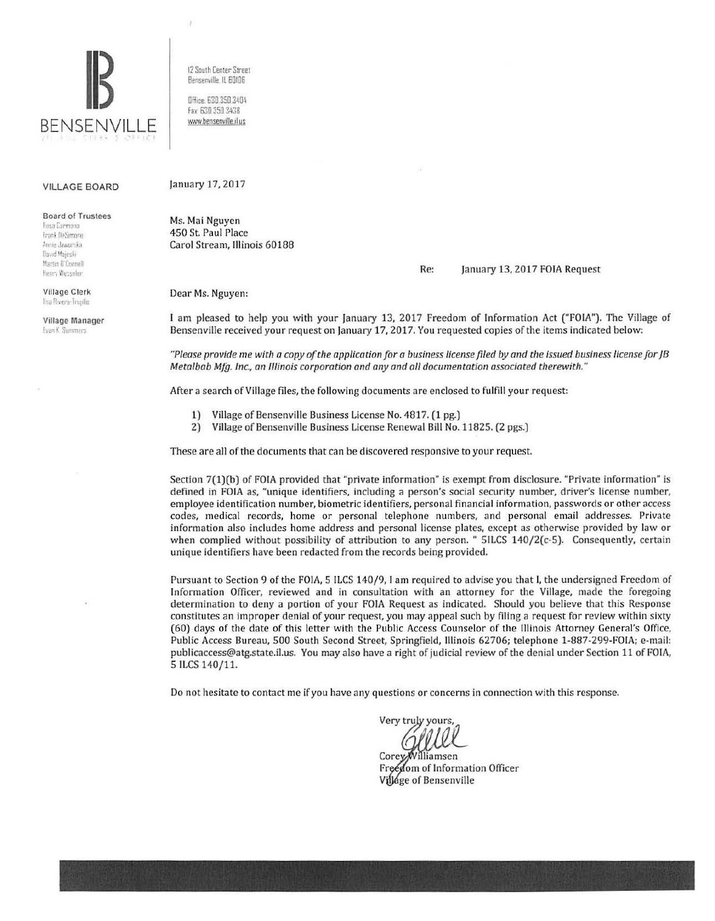

12 South Center Street Benserville IL 60106 Office 630.350.3404 fax 630 350 3438

 $\lambda$ 

www.bensenville.il us

## VILLAGE BOARD

**Board of Trustees** Rosa Carmona Frank DeSimone Annie Jaworska (lavid Maieski) Martin Il'Ennnell Henry Wesseler Village Clerk Ilsa Rivera-Trupile Village Manager **Lyan K: Summers** 

January 17, 2017

Ms. Mai Nguyen 450 St. Paul Place Carol Stream, Illinois 60188

Re: January 13, 2017 FOIA Request

Dear Ms. Nguyen:

I am pleased to help you with your January 13, 2017 Freedom of Information Act ("FOIA"). The Village of Bensenville received your request on January 17, 2017. You requested copies of the items indicated below:

*"Please provide me with a copy of the application for a business license filed by and the issued business license for JB Metalbab Mfg. Inc., an Illinois corporation and any and all documentation associated therewith."* 

After a search of Village files, the following documents are enclosed to fulfill your request:

- 1) Village of Bensenville Business License No. 4817. (1 pg.)
- 2) Village of Bensenville Business License Renewal Bill No. 11825. (2 pgs.)

These are all of the documents that can be discovered responsive to your request.

Section 7(1)(b) of FOIA provided that "private information" is exempt from disclosure. "Private information" is defined in FOIA as, "unique identifiers, including a person's social security number, driver's license number, employee identification number, biometric identifiers, personal financial information, passwords or other access codes, medical records, home or personal telephone numbers, and personal email addresses. Private information also includes home address and personal license plates, except as otherwise provided by law or when complied without possibility of attribution to any person. " 5ILCS 140/2(c-5). Consequently, certain unique identifiers have been redacted from the records being provided.

Pursuant to Section 9 of the FOIA, 5 ILCS 140/9, I am required to advise you that I, the undersigned Freedom of Information Officer, reviewed and in consultation with an attorney for the Village, made the foregoing determination to deny a portion of your FOIA Request as indicated. Should you believe that this Response constitutes an improper denial of your request, you may appeal such by filing a request for review within sixty (60) days of the date of this letter with the Public Access Counselor of the Illinois Attorney General's Office, Public Access Bureau, 500 South Second Street, Springfield, Illinois 62706; telephone 1-887-299-FOIA; e-mail: publicaccess@atg.state.il.us. You may also have a right of judicial review of the denial under Section 11 of FOIA, 5 ILCS 140/11.

Do not hesitate to contact me if you have any questions or concerns in connection with this response.

Very truly yours

Corey/Williamsen Freedom of Information Officer Village of Bensenville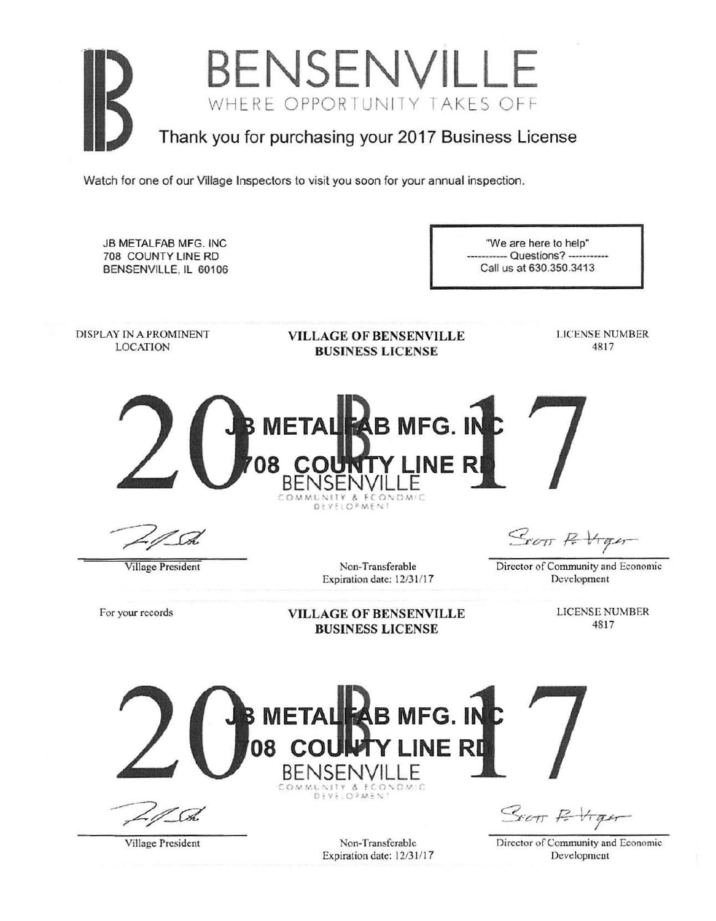## **BENSENVILLE**  WHERE OPPORTUNITY TAKES OFF Thank you for purchasing your 2017 Business License

Watch for one of our Village Inspectors to visit you soon for your annual inspection.

JB METALFAB MFG. INC "We are here to help" 708 COUNTY LINE RD --- Questions? -----------Call us at 630.350.3413 BENSENVILLE, IL 60106 DISPLAY IN A PROMINENT LICENSE NUMBER VfLLAGE OF BENSENVILLE LOCATION 48 17 BUSINESS LICENSE **ETALEAB MFG. IN 08 CO LINER**  BENSENVILLE DEVELOPMENT STOTT F. Hight Village President Non-Transferable Director of Community and Economic Expiration date: 12/31/17 Development LICENSE NUMBER For your records VILLAGE OF BENSENVILLE 4817 BUSINESS LICENSE **METALLAB MFG. IN 08 CO LINER**  BENSENVILLE ~ () *!.-"* "/. \,. , **y** *t.* **ff 0'** .. *(*  Stor R Vigor

Village President

Non-Transferable Expiration date: 12/31/17 Director of Community and Economic Development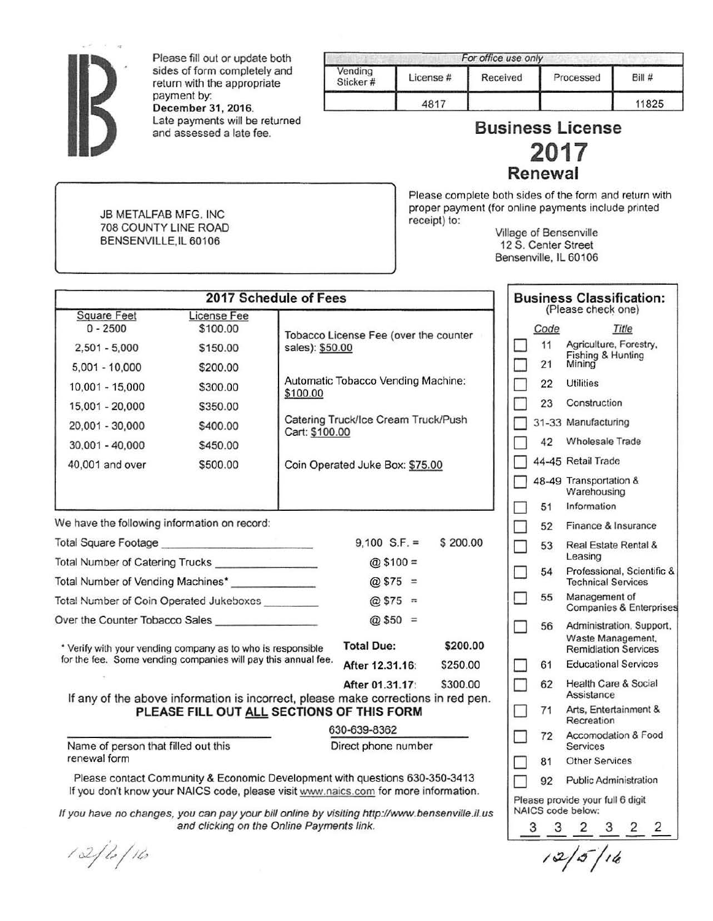

Please fill out or update both sides of form completely and return with the appropriate payment by: December 31, 2016. Late payments will be returned<br>and assessed a late fee.

**JB METALFAB MFG. INC** 708 COUNTY LINE ROAD BENSENVILLE.IL 60106

|                     |          | For office use only |           |       |
|---------------------|----------|---------------------|-----------|-------|
| Vending<br>Sticker# | License# | Received            | Processed | Bill# |
|                     | 4817     |                     |           | 11825 |

## **Business License 2017**  Renewal

Please complete both sides of the form and return with proper payment (for online payments include printed receipt) to:

Village of Bensenville 12 S. Center Street Bensenville, IL 60106

| 2017 Schedule of Fees                                                                                                                                              |                                     |                 |                                       |          | <b>Business Classification:</b> |            |                                                                              |
|--------------------------------------------------------------------------------------------------------------------------------------------------------------------|-------------------------------------|-----------------|---------------------------------------|----------|---------------------------------|------------|------------------------------------------------------------------------------|
| <b>Square Feet</b><br>$0 - 2500$<br>$2,501 - 5,000$                                                                                                                | License Fee<br>\$100.00<br>\$150.00 | sales): \$50.00 | Tobacco License Fee (over the counter |          |                                 | Code<br>11 | (Please check one)<br>Title<br>Agriculture, Forestry,                        |
| $5,001 - 10,000$                                                                                                                                                   | \$200.00                            |                 |                                       |          |                                 | 21         | Fishing & Hunting<br>Mining                                                  |
| 10,001 - 15,000                                                                                                                                                    | \$300.00                            | \$100.00        | Automatic Tobacco Vending Machine:    |          |                                 | 22         | <b>Utilities</b>                                                             |
| 15,001 - 20,000                                                                                                                                                    | \$350.00                            |                 |                                       |          |                                 | 23         | Construction                                                                 |
| 20,001 - 30,000                                                                                                                                                    | \$400.00                            | Cart: \$100.00  | Catering Truck/Ice Cream Truck/Push   |          |                                 |            | 31-33 Manufacturing                                                          |
| $30,001 - 40,000$                                                                                                                                                  | \$450.00                            |                 |                                       |          |                                 | 42         | <b>Wholesale Trade</b>                                                       |
| 40,001 and over                                                                                                                                                    | \$500.00                            |                 | Coin Operated Juke Box: \$75.00       |          |                                 |            | 44-45 Retail Trade                                                           |
|                                                                                                                                                                    |                                     |                 |                                       |          |                                 |            | 48-49 Transportation &<br>Warehousing                                        |
|                                                                                                                                                                    |                                     |                 |                                       |          |                                 | 51         | Information                                                                  |
| We have the following information on record:                                                                                                                       |                                     |                 |                                       |          | n.                              | 52         | Finance & Insurance                                                          |
|                                                                                                                                                                    |                                     |                 | $9,100$ S.F. =<br>$@$100 =$           | \$200.00 |                                 | 53         | Real Estate Rental &<br>Leasing                                              |
| Total Number of Catering Trucks ________________<br>Total Number of Vending Machines*<br>$@575 =$                                                                  |                                     |                 |                                       |          |                                 | 54         | Professional, Scientific &<br><b>Technical Services</b>                      |
| Total Number of Coin Operated Jukeboxes _______<br>@ \$75 =                                                                                                        |                                     |                 |                                       |          |                                 | 55         | Management of<br><b>Companies &amp; Enterprises</b>                          |
| $@$50 =$<br>Over the Counter Tobacco Sales<br><b>Total Due:</b><br>\$200.00<br>* Verify with your vending company as to who is responsible                         |                                     |                 |                                       |          |                                 | 56         | Administration, Support,<br>Waste Management,<br><b>Remidiation Services</b> |
| for the fee. Some vending companies will pay this annual fee.                                                                                                      |                                     |                 | After 12.31.16:                       | \$250.00 |                                 | 61         | <b>Educational Services</b>                                                  |
|                                                                                                                                                                    |                                     |                 | After 01.31.17:                       | \$300.00 |                                 | 62         | <b>Health Care &amp; Social</b><br>Assistance                                |
| If any of the above information is incorrect, please make corrections in red pen.<br>PLEASE FILL OUT ALL SECTIONS OF THIS FORM                                     |                                     |                 |                                       |          |                                 | 71         | Arts, Entertainment &<br>Recreation                                          |
| Name of person that filled out this                                                                                                                                |                                     |                 | 630-639-8362<br>Direct phone number   |          |                                 | 72         | Accomodation & Food<br>Services                                              |
| renewal form                                                                                                                                                       |                                     |                 |                                       |          |                                 | 81         | <b>Other Services</b>                                                        |
| Please contact Community & Economic Development with questions 630-350-3413<br>If you don't know your NAICS code, please visit www.naics.com for more information. |                                     |                 |                                       |          |                                 | 92         | <b>Public Administration</b><br>Please provide your full 6 digit             |
| If you have no changes, you can pay your bill online by visiting http://www.bensenville.il.us<br>and clicking on the Online Payments link.                         |                                     |                 |                                       |          |                                 | 3          | NAICS code below:<br>3 2 3 2 2                                               |

 $12/5/16$ 

 $12/6/16$